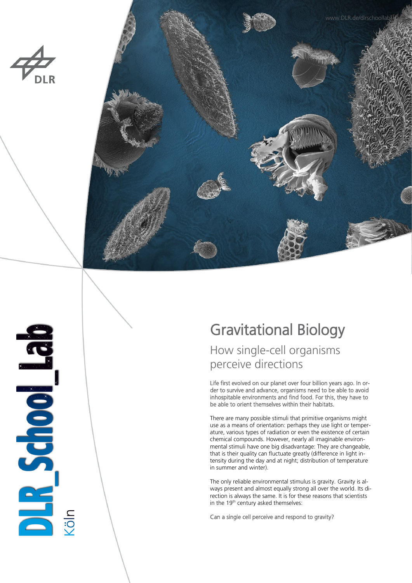

BR School Bab



# Gravitational Biology

# How single-cell organisms perceive directions

Life first evolved on our planet over four billion years ago. In order to survive and advance, organisms need to be able to avoid inhospitable environments and find food. For this, they have to be able to orient themselves within their habitats.

There are many possible stimuli that primitive organisms might use as a means of orientation: perhaps they use light or temperature, various types of radiation or even the existence of certain chemical compounds. However, nearly all imaginable environmental stimuli have one big disadvantage: They are changeable, that is their quality can fluctuate greatly (difference in light intensity during the day and at night; distribution of temperature in summer and winter).

The only reliable environmental stimulus is gravity. Gravity is always present and almost equally strong all over the world. Its direction is always the same. It is for these reasons that scientists in the 19<sup>th</sup> century asked themselves:

Can a single cell perceive and respond to gravity?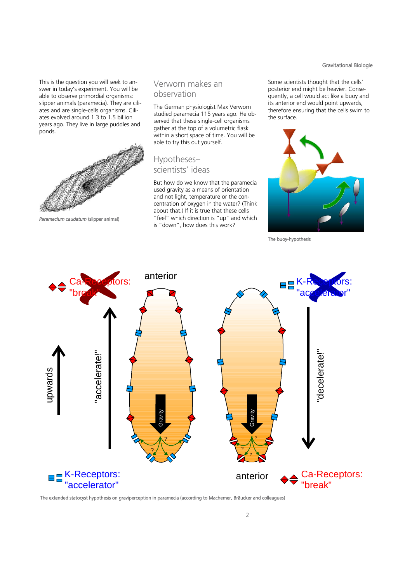#### Gravitational Biologie

This is the question you will seek to answer in today's experiment. You will be able to observe primordial organisms: slipper animals (paramecia). They are ciliates and are single-cells organisms. Ciliates evolved around 1.3 to 1.5 billion years ago. They live in large puddles and ponds.



*Paramecium caudatum* (slipper animal)

### Verworn makes an observation

The German physiologist Max Verworn studied paramecia 115 years ago. He observed that these single-cell organisms gather at the top of a volumetric flask within a short space of time. You will be able to try this out yourself.

# Hypotheses– scientists' ideas

But how do we know that the paramecia used gravity as a means of orientation and not light, temperature or the concentration of oxygen in the water? (Think about that.) If it is true that these cells "feel" which direction is "up" and which is "down", how does this work?

Some scientists thought that the cells' posterior end might be heavier. Consequently, a cell would act like a buoy and its anterior end would point upwards, therefore ensuring that the cells swim to the surface.



The buoy-hypothesis



The extended statocyst hypothesis on graviperception in paramecia (according to Machemer, Bräucker and colleagues)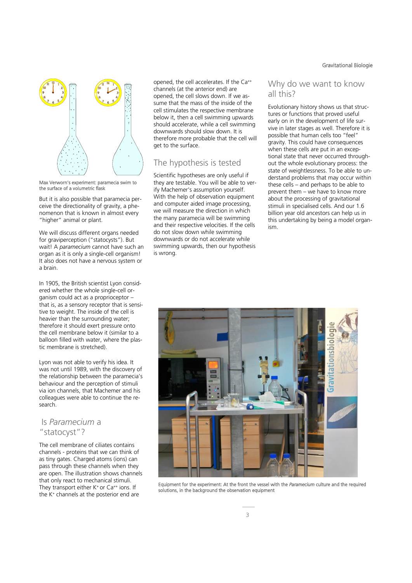

Max Verworn's experiment: paramecia swim to the surface of a volumetric flask

But it is also possible that paramecia perceive the directionality of gravity, a phenomenon that is known in almost every "higher" animal or plant.

We will discuss different organs needed for graviperception ("statocysts"). But wait! A *paramecium* cannot have such an organ as it is only a single-cell organism! It also does not have a nervous system or a brain.

In 1905, the British scientist Lyon considered whether the whole single-cell organism could act as a proprioceptor – that is, as a sensory receptor that is sensitive to weight. The inside of the cell is heavier than the surrounding water; therefore it should exert pressure onto the cell membrane below it (similar to a balloon filled with water, where the plastic membrane is stretched).

Lyon was not able to verify his idea. It was not until 1989, with the discovery of the relationship between the paramecia's behaviour and the perception of stimuli via ion channels, that Machemer and his colleagues were able to continue the research.

# Is *Paramecium* a "statocyst"?

The cell membrane of ciliates contains channels - proteins that we can think of as tiny gates. Charged atoms (ions) can pass through these channels when they are open. The illustration shows channels that only react to mechanical stimuli. They transport either  $K^+$  or  $Ca^{++}$  ions. If the K<sup>+</sup> channels at the posterior end are

opened, the cell accelerates. If the Ca++ channels (at the anterior end) are opened, the cell slows down. If we assume that the mass of the inside of the cell stimulates the respective membrane below it, then a cell swimming upwards should accelerate, while a cell swimming downwards should slow down. It is therefore more probable that the cell will get to the surface.

# The hypothesis is tested

Scientific hypotheses are only useful if they are testable. You will be able to verify Machemer's assumption yourself. With the help of observation equipment and computer aided image processing, we will measure the direction in which the many paramecia will be swimming and their respective velocities. If the cells do not slow down while swimming downwards or do not accelerate while swimming upwards, then our hypothesis is wrong.

## Why do we want to know all this?

Evolutionary history shows us that structures or functions that proved useful early on in the development of life survive in later stages as well. Therefore it is possible that human cells too "feel" gravity. This could have consequences when these cells are put in an exceptional state that never occurred throughout the whole evolutionary process: the state of weightlessness. To be able to understand problems that may occur within these cells – and perhaps to be able to prevent them – we have to know more about the processing of gravitational stimuli in specialised cells. And our 1.6 billion year old ancestors can help us in this undertaking by being a model organism.



Equipment for the experiment: At the front the vessel with the *Paramecium* culture and the required solutions, in the background the observation equipment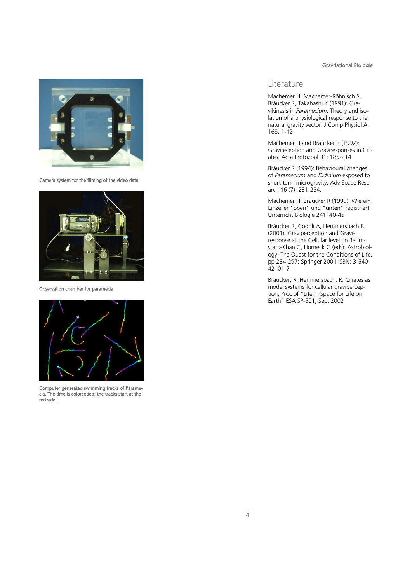#### Gravitational Biologie



Camera system for the filming of the video data



Observation chamber for paramecia



Computer generated swimming tracks of Paramecia. The time is colorcoded: the tracks start at the red side.

#### Literature

Machemer H, Machemer-Röhnisch S, Bräucker R, Takahashi K (1991): Gravikinesis in *Paramecium*: Theory and isolation of a physiological response to the natural gravity vector. J Comp Physiol A 168: 1-12

Machemer H and Bräucker R (1992): Gravireception and Graviresponses in Ciliates. Acta Protozool 31: 185-214

Bräucker R (1994): Behavioural changes of *Paramecium* and *Didinium* exposed to short-term microgravity. Adv Space Research 16 (7): 231-234.

Machemer H, Bräucker R (1999): Wie ein Einzeller "oben" und "unten" registriert. Unterricht Biologie 241: 40-45

Bräucker R, Cogoli A, Hemmersbach R (2001): Graviperception and Graviresponse at the Cellular level. In Baumstark-Khan C, Horneck G (eds): Astrobiology: The Quest for the Conditions of Life. pp 284-297; Springer 2001 ISBN: 3-540- 42101-7

Bräucker, R, Hemmersbach, R: Ciliates as model systems for cellular graviperception, Proc of "Life in Space for Life on Earth" ESA SP-501, Sep. 2002